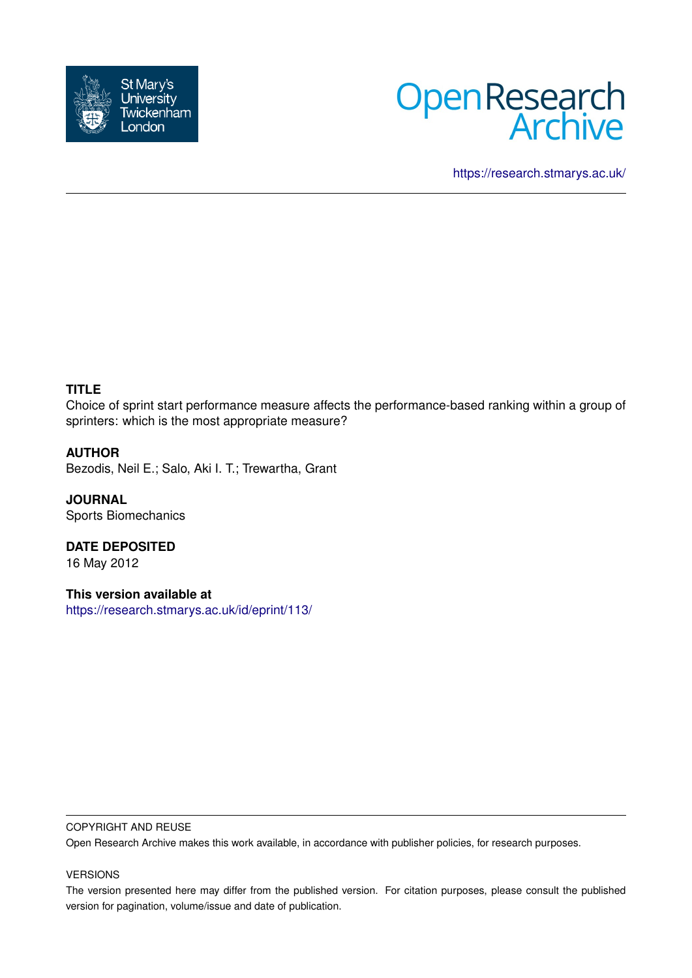



<https://research.stmarys.ac.uk/>

# **TITLE**

Choice of sprint start performance measure affects the performance-based ranking within a group of sprinters: which is the most appropriate measure?

## **AUTHOR**

Bezodis, Neil E.; Salo, Aki I. T.; Trewartha, Grant

**JOURNAL** Sports Biomechanics

**DATE DEPOSITED** 16 May 2012

**This version available at** <https://research.stmarys.ac.uk/id/eprint/113/>

#### COPYRIGHT AND REUSE

Open Research Archive makes this work available, in accordance with publisher policies, for research purposes.

#### VERSIONS

The version presented here may differ from the published version. For citation purposes, please consult the published version for pagination, volume/issue and date of publication.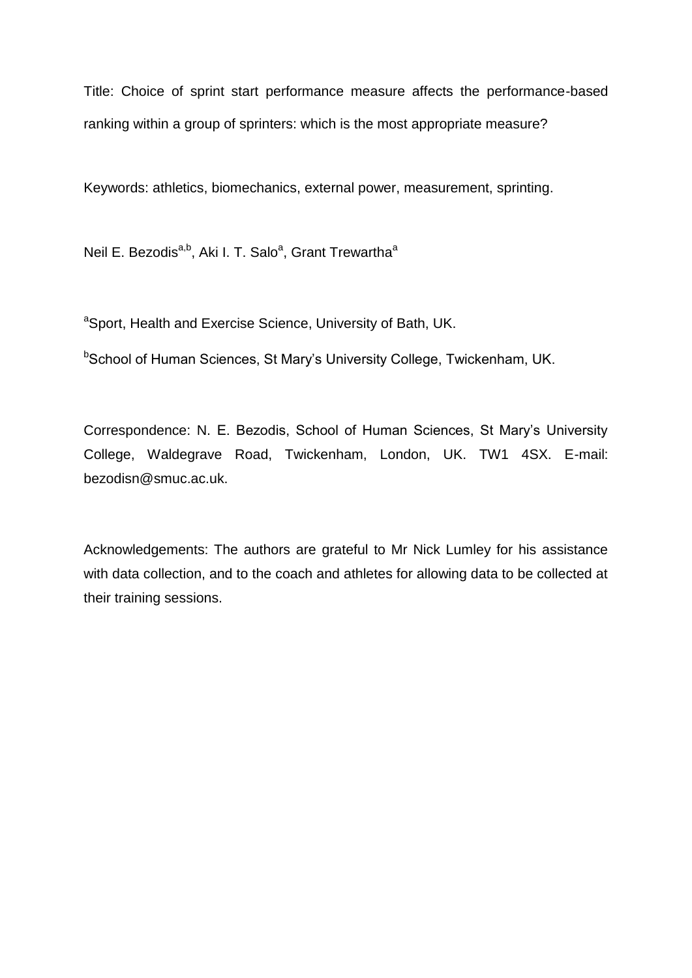Title: Choice of sprint start performance measure affects the performance-based ranking within a group of sprinters: which is the most appropriate measure?

Keywords: athletics, biomechanics, external power, measurement, sprinting.

Neil E. Bezodis<sup>a,b</sup>, Aki I. T. Salo<sup>a</sup>, Grant Trewartha<sup>a</sup>

<sup>a</sup>Sport, Health and Exercise Science, University of Bath, UK.

**bSchool of Human Sciences, St Mary's University College, Twickenham, UK.** 

Correspondence: N. E. Bezodis, School of Human Sciences, St Mary's University College, Waldegrave Road, Twickenham, London, UK. TW1 4SX. E-mail: bezodisn@smuc.ac.uk.

Acknowledgements: The authors are grateful to Mr Nick Lumley for his assistance with data collection, and to the coach and athletes for allowing data to be collected at their training sessions.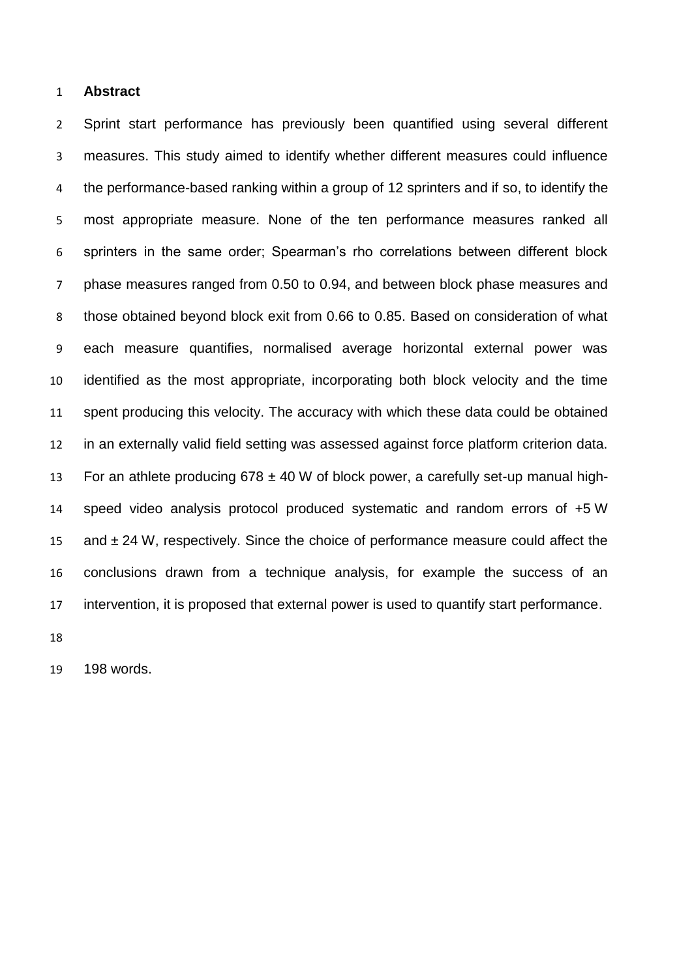#### **Abstract**

 Sprint start performance has previously been quantified using several different measures. This study aimed to identify whether different measures could influence the performance-based ranking within a group of 12 sprinters and if so, to identify the most appropriate measure. None of the ten performance measures ranked all sprinters in the same order; Spearman's rho correlations between different block phase measures ranged from 0.50 to 0.94, and between block phase measures and those obtained beyond block exit from 0.66 to 0.85. Based on consideration of what each measure quantifies, normalised average horizontal external power was identified as the most appropriate, incorporating both block velocity and the time spent producing this velocity. The accuracy with which these data could be obtained in an externally valid field setting was assessed against force platform criterion data. 13 For an athlete producing  $678 \pm 40$  W of block power, a carefully set-up manual high- speed video analysis protocol produced systematic and random errors of +5 W and ± 24 W, respectively. Since the choice of performance measure could affect the conclusions drawn from a technique analysis, for example the success of an intervention, it is proposed that external power is used to quantify start performance.

198 words.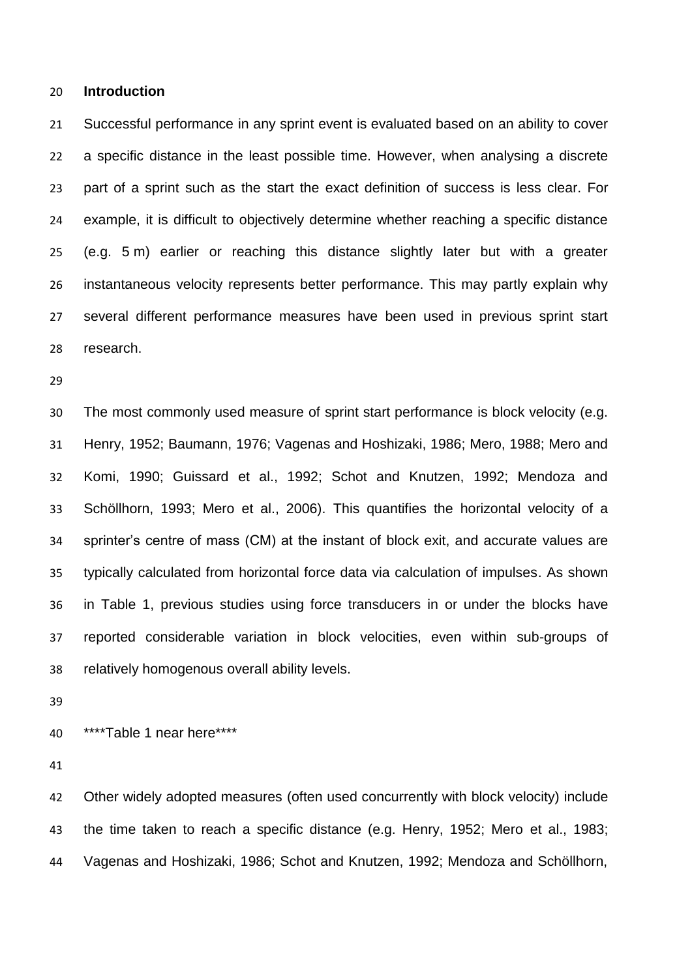#### **Introduction**

 Successful performance in any sprint event is evaluated based on an ability to cover a specific distance in the least possible time. However, when analysing a discrete part of a sprint such as the start the exact definition of success is less clear. For example, it is difficult to objectively determine whether reaching a specific distance (e.g. 5 m) earlier or reaching this distance slightly later but with a greater instantaneous velocity represents better performance. This may partly explain why several different performance measures have been used in previous sprint start research.

 The most commonly used measure of sprint start performance is block velocity (e.g. Henry, 1952; Baumann, 1976; Vagenas and Hoshizaki, 1986; Mero, 1988; Mero and Komi, 1990; Guissard et al., 1992; Schot and Knutzen, 1992; Mendoza and Schöllhorn, 1993; Mero et al., 2006). This quantifies the horizontal velocity of a sprinter's centre of mass (CM) at the instant of block exit, and accurate values are typically calculated from horizontal force data via calculation of impulses. As shown in Table 1, previous studies using force transducers in or under the blocks have reported considerable variation in block velocities, even within sub-groups of relatively homogenous overall ability levels.

\*\*\*\*Table 1 near here\*\*\*\*

 Other widely adopted measures (often used concurrently with block velocity) include the time taken to reach a specific distance (e.g. Henry, 1952; Mero et al., 1983; Vagenas and Hoshizaki, 1986; Schot and Knutzen, 1992; Mendoza and Schöllhorn,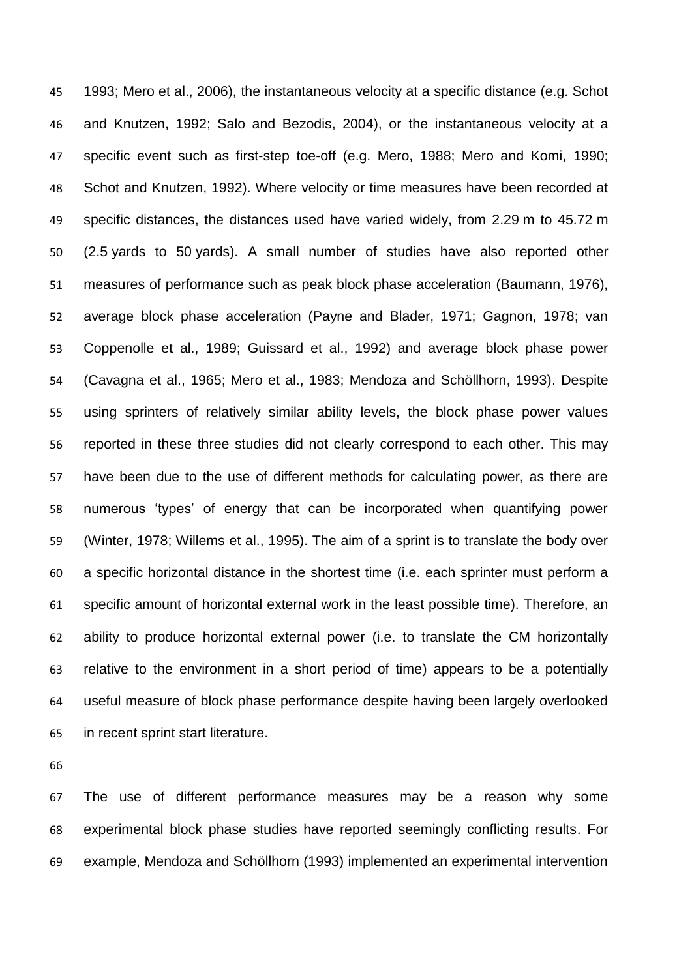1993; Mero et al., 2006), the instantaneous velocity at a specific distance (e.g. Schot and Knutzen, 1992; Salo and Bezodis, 2004), or the instantaneous velocity at a specific event such as first-step toe-off (e.g. Mero, 1988; Mero and Komi, 1990; Schot and Knutzen, 1992). Where velocity or time measures have been recorded at specific distances, the distances used have varied widely, from 2.29 m to 45.72 m (2.5 yards to 50 yards). A small number of studies have also reported other measures of performance such as peak block phase acceleration (Baumann, 1976), average block phase acceleration (Payne and Blader, 1971; Gagnon, 1978; van Coppenolle et al., 1989; Guissard et al., 1992) and average block phase power (Cavagna et al., 1965; Mero et al., 1983; Mendoza and Schöllhorn, 1993). Despite using sprinters of relatively similar ability levels, the block phase power values reported in these three studies did not clearly correspond to each other. This may have been due to the use of different methods for calculating power, as there are numerous 'types' of energy that can be incorporated when quantifying power (Winter, 1978; Willems et al., 1995). The aim of a sprint is to translate the body over a specific horizontal distance in the shortest time (i.e. each sprinter must perform a specific amount of horizontal external work in the least possible time). Therefore, an ability to produce horizontal external power (i.e. to translate the CM horizontally relative to the environment in a short period of time) appears to be a potentially useful measure of block phase performance despite having been largely overlooked in recent sprint start literature.

 The use of different performance measures may be a reason why some experimental block phase studies have reported seemingly conflicting results. For example, Mendoza and Schöllhorn (1993) implemented an experimental intervention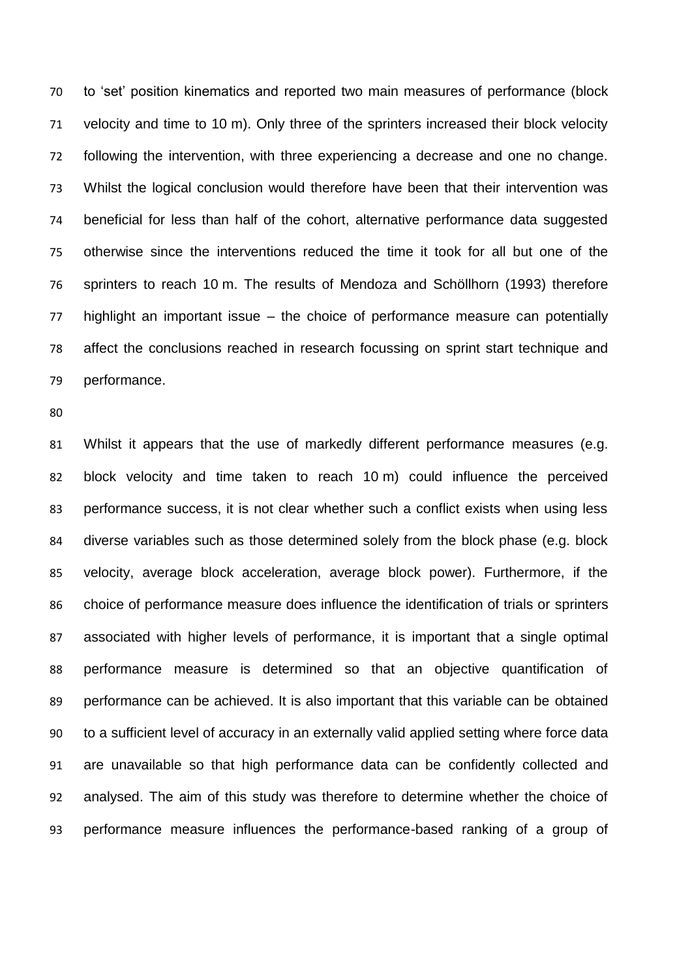to 'set' position kinematics and reported two main measures of performance (block velocity and time to 10 m). Only three of the sprinters increased their block velocity following the intervention, with three experiencing a decrease and one no change. Whilst the logical conclusion would therefore have been that their intervention was beneficial for less than half of the cohort, alternative performance data suggested otherwise since the interventions reduced the time it took for all but one of the sprinters to reach 10 m. The results of Mendoza and Schöllhorn (1993) therefore highlight an important issue – the choice of performance measure can potentially affect the conclusions reached in research focussing on sprint start technique and performance.

 Whilst it appears that the use of markedly different performance measures (e.g. block velocity and time taken to reach 10 m) could influence the perceived performance success, it is not clear whether such a conflict exists when using less diverse variables such as those determined solely from the block phase (e.g. block velocity, average block acceleration, average block power). Furthermore, if the choice of performance measure does influence the identification of trials or sprinters associated with higher levels of performance, it is important that a single optimal performance measure is determined so that an objective quantification of performance can be achieved. It is also important that this variable can be obtained to a sufficient level of accuracy in an externally valid applied setting where force data are unavailable so that high performance data can be confidently collected and analysed. The aim of this study was therefore to determine whether the choice of performance measure influences the performance-based ranking of a group of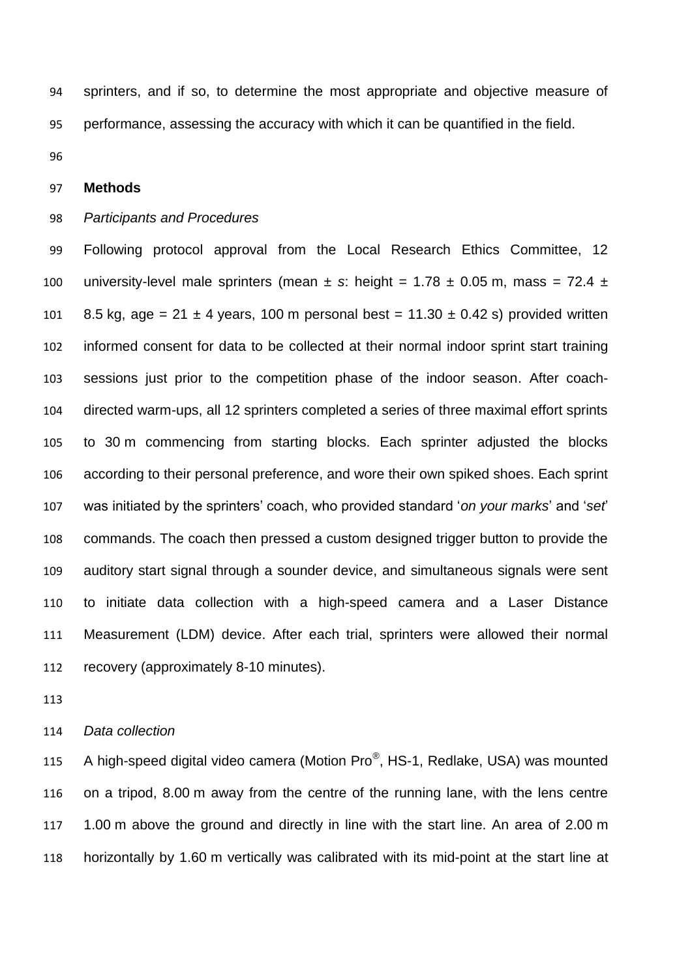sprinters, and if so, to determine the most appropriate and objective measure of performance, assessing the accuracy with which it can be quantified in the field.

## **Methods**

### *Participants and Procedures*

 Following protocol approval from the Local Research Ethics Committee, 12 100 university-level male sprinters (mean  $\pm$  s: height = 1.78  $\pm$  0.05 m, mass = 72.4  $\pm$ 101 8.5 kg, age =  $21 \pm 4$  years, 100 m personal best =  $11.30 \pm 0.42$  s) provided written informed consent for data to be collected at their normal indoor sprint start training sessions just prior to the competition phase of the indoor season. After coach- directed warm-ups, all 12 sprinters completed a series of three maximal effort sprints to 30 m commencing from starting blocks. Each sprinter adjusted the blocks according to their personal preference, and wore their own spiked shoes. Each sprint was initiated by the sprinters' coach, who provided standard '*on your marks*' and '*set*' commands. The coach then pressed a custom designed trigger button to provide the auditory start signal through a sounder device, and simultaneous signals were sent to initiate data collection with a high-speed camera and a Laser Distance Measurement (LDM) device. After each trial, sprinters were allowed their normal recovery (approximately 8-10 minutes).

*Data collection*

115 A high-speed digital video camera (Motion Pro®, HS-1, Redlake, USA) was mounted on a tripod, 8.00 m away from the centre of the running lane, with the lens centre 1.00 m above the ground and directly in line with the start line. An area of 2.00 m horizontally by 1.60 m vertically was calibrated with its mid-point at the start line at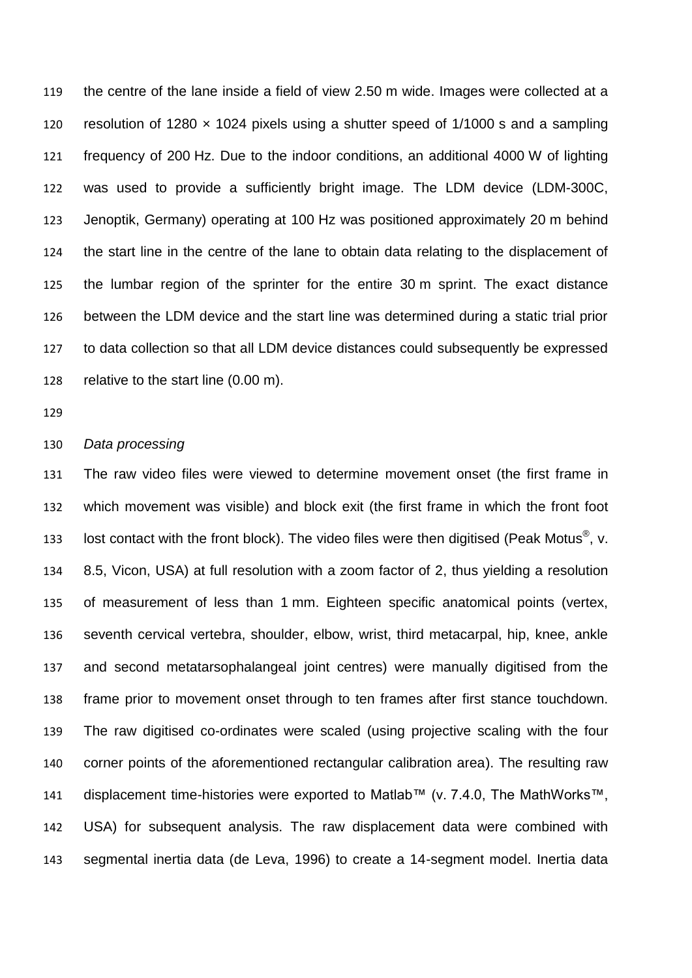the centre of the lane inside a field of view 2.50 m wide. Images were collected at a resolution of 1280 × 1024 pixels using a shutter speed of 1/1000 s and a sampling frequency of 200 Hz. Due to the indoor conditions, an additional 4000 W of lighting was used to provide a sufficiently bright image. The LDM device (LDM-300C, Jenoptik, Germany) operating at 100 Hz was positioned approximately 20 m behind the start line in the centre of the lane to obtain data relating to the displacement of the lumbar region of the sprinter for the entire 30 m sprint. The exact distance between the LDM device and the start line was determined during a static trial prior to data collection so that all LDM device distances could subsequently be expressed relative to the start line (0.00 m).

#### *Data processing*

 The raw video files were viewed to determine movement onset (the first frame in which movement was visible) and block exit (the first frame in which the front foot 133 lost contact with the front block). The video files were then digitised (Peak Motus<sup>®</sup>, v. 8.5, Vicon, USA) at full resolution with a zoom factor of 2, thus yielding a resolution of measurement of less than 1 mm. Eighteen specific anatomical points (vertex, seventh cervical vertebra, shoulder, elbow, wrist, third metacarpal, hip, knee, ankle and second metatarsophalangeal joint centres) were manually digitised from the frame prior to movement onset through to ten frames after first stance touchdown. The raw digitised co-ordinates were scaled (using projective scaling with the four corner points of the aforementioned rectangular calibration area). The resulting raw displacement time-histories were exported to Matlab™ (v. 7.4.0, The MathWorks™, USA) for subsequent analysis. The raw displacement data were combined with segmental inertia data (de Leva, 1996) to create a 14-segment model. Inertia data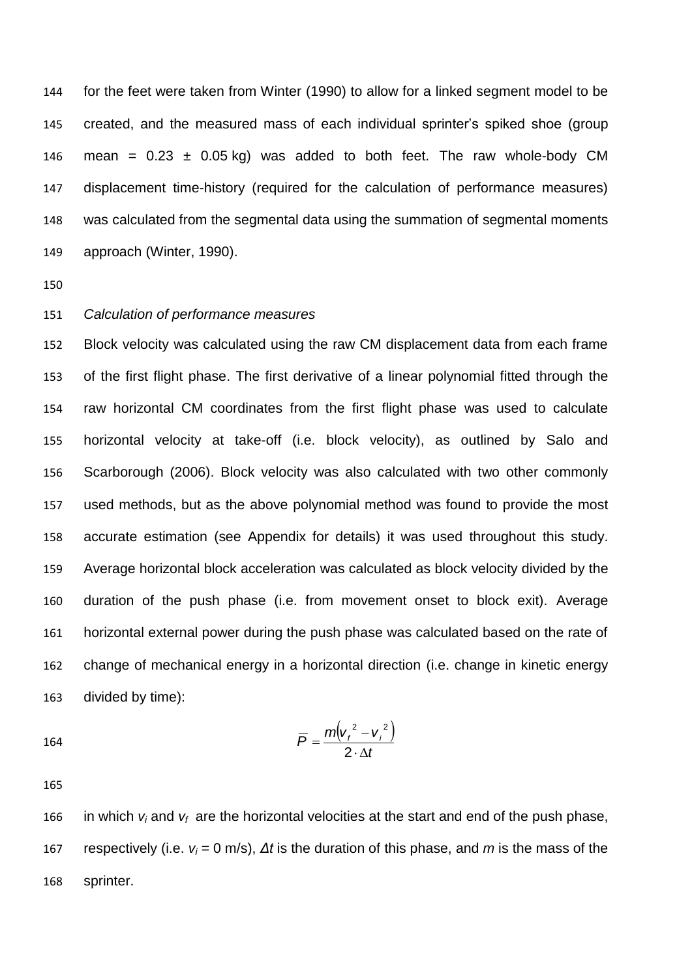for the feet were taken from Winter (1990) to allow for a linked segment model to be created, and the measured mass of each individual sprinter's spiked shoe (group 146 mean =  $0.23 \pm 0.05$  kg) was added to both feet. The raw whole-body CM displacement time-history (required for the calculation of performance measures) was calculated from the segmental data using the summation of segmental moments approach (Winter, 1990).

## *Calculation of performance measures*

 Block velocity was calculated using the raw CM displacement data from each frame of the first flight phase. The first derivative of a linear polynomial fitted through the raw horizontal CM coordinates from the first flight phase was used to calculate horizontal velocity at take-off (i.e. block velocity), as outlined by Salo and Scarborough (2006). Block velocity was also calculated with two other commonly used methods, but as the above polynomial method was found to provide the most accurate estimation (see Appendix for details) it was used throughout this study. Average horizontal block acceleration was calculated as block velocity divided by the duration of the push phase (i.e. from movement onset to block exit). Average horizontal external power during the push phase was calculated based on the rate of change of mechanical energy in a horizontal direction (i.e. change in kinetic energy divided by time):

$$
\overline{P} = \frac{m(v_i^2 - v_i^2)}{2 \cdot \Delta t}
$$

166 in which  $v_i$  and  $v_f$  are the horizontal velocities at the start and end of the push phase, respectively (i.e. *v<sup>i</sup>* = 0 m/s), *Δt* is the duration of this phase, and *m* is the mass of the sprinter.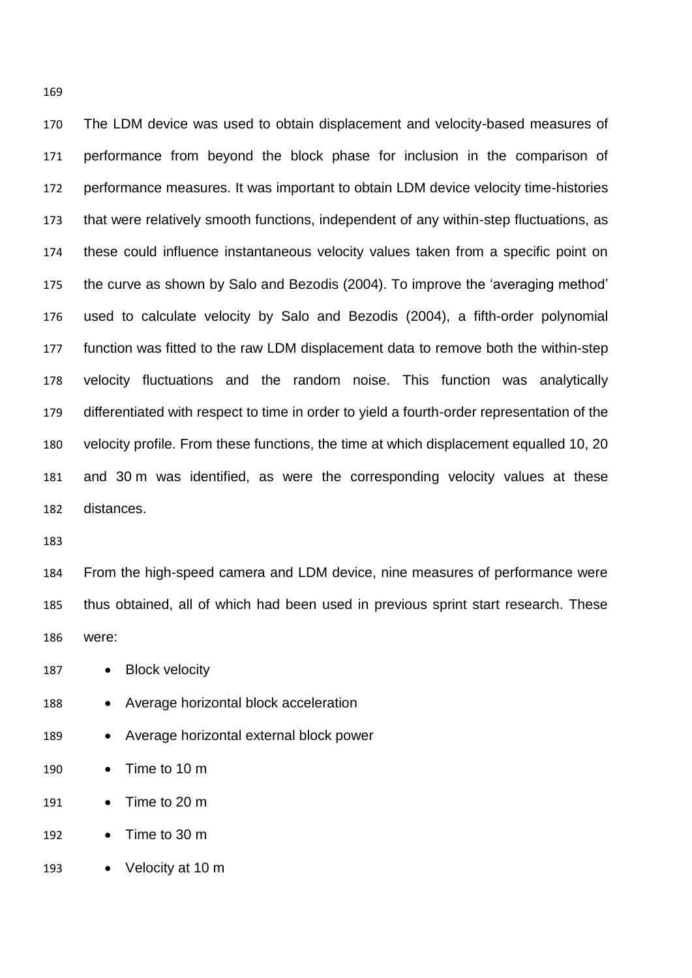The LDM device was used to obtain displacement and velocity-based measures of performance from beyond the block phase for inclusion in the comparison of performance measures. It was important to obtain LDM device velocity time-histories that were relatively smooth functions, independent of any within-step fluctuations, as these could influence instantaneous velocity values taken from a specific point on the curve as shown by Salo and Bezodis (2004). To improve the 'averaging method' used to calculate velocity by Salo and Bezodis (2004), a fifth-order polynomial function was fitted to the raw LDM displacement data to remove both the within-step velocity fluctuations and the random noise. This function was analytically differentiated with respect to time in order to yield a fourth-order representation of the velocity profile. From these functions, the time at which displacement equalled 10, 20 and 30 m was identified, as were the corresponding velocity values at these distances.

 From the high-speed camera and LDM device, nine measures of performance were thus obtained, all of which had been used in previous sprint start research. These were:

187 · Block velocity

- 188 Average horizontal block acceleration
- 189 Average horizontal external block power
- 190 Time to 10 m
- 191 Time to 20 m
- 192 Time to 30 m
- 193 Velocity at 10 m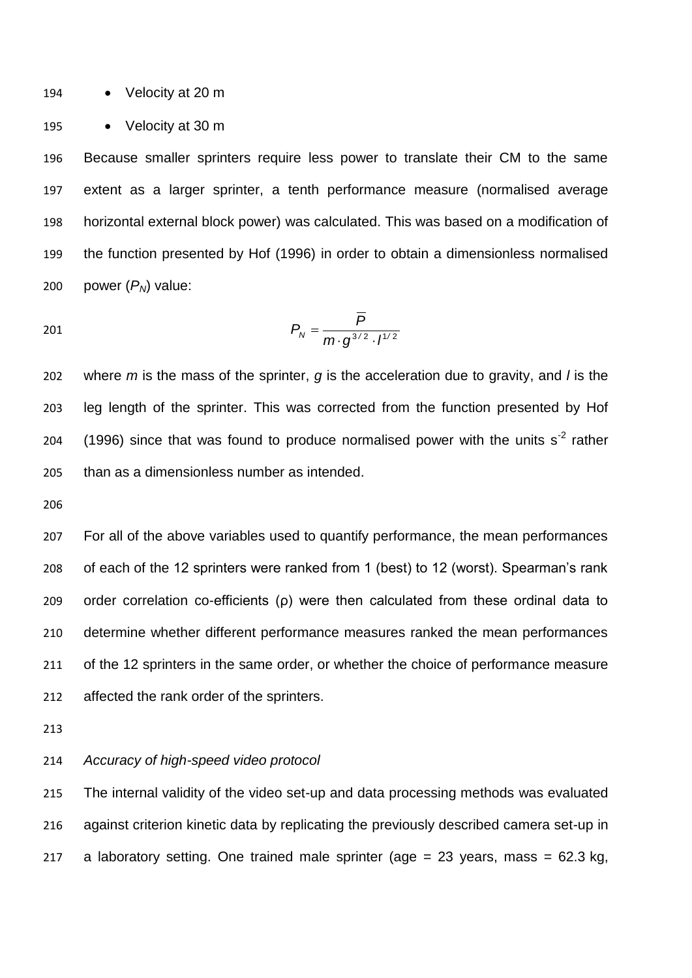194 • Velocity at 20 m

195 • Velocity at 30 m

 Because smaller sprinters require less power to translate their CM to the same extent as a larger sprinter, a tenth performance measure (normalised average horizontal external block power) was calculated. This was based on a modification of the function presented by Hof (1996) in order to obtain a dimensionless normalised 200 power  $(P_N)$  value:

$$
P_N = \frac{\overline{P}}{m \cdot g^{3/2} \cdot l^{1/2}}
$$

 where *m* is the mass of the sprinter, *g* is the acceleration due to gravity, and *l* is the leg length of the sprinter. This was corrected from the function presented by Hof 204 (1996) since that was found to produce normalised power with the units  $s<sup>-2</sup>$  rather than as a dimensionless number as intended.

 For all of the above variables used to quantify performance, the mean performances of each of the 12 sprinters were ranked from 1 (best) to 12 (worst). Spearman's rank order correlation co-efficients (ρ) were then calculated from these ordinal data to determine whether different performance measures ranked the mean performances 211 of the 12 sprinters in the same order, or whether the choice of performance measure affected the rank order of the sprinters.

### *Accuracy of high-speed video protocol*

 The internal validity of the video set-up and data processing methods was evaluated against criterion kinetic data by replicating the previously described camera set-up in 217 a laboratory setting. One trained male sprinter (age  $= 23$  years, mass  $= 62.3$  kg,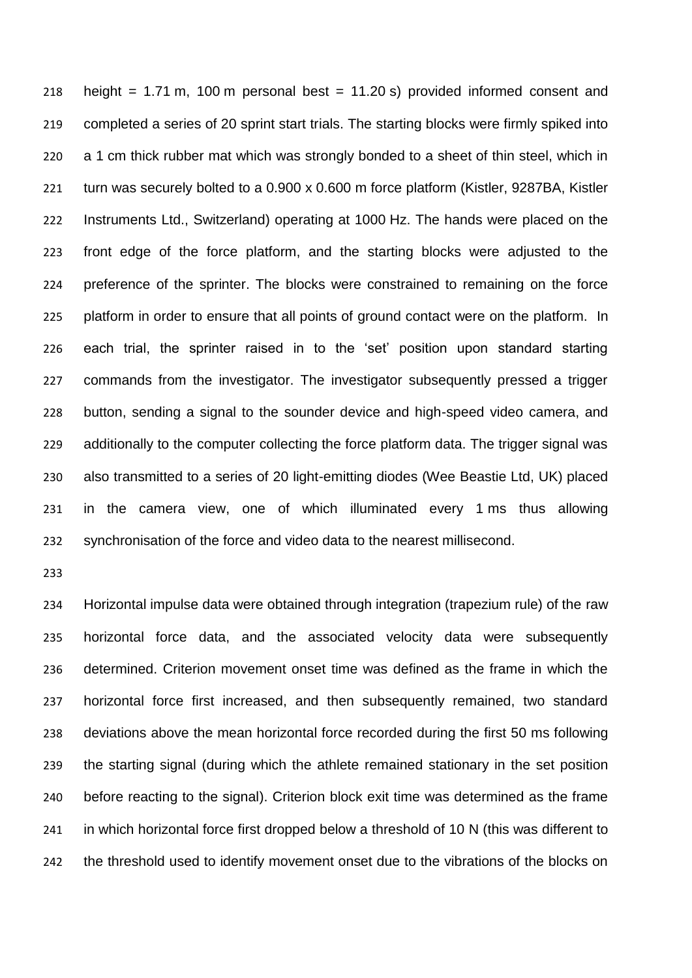218 height =  $1.71$  m, 100 m personal best =  $11.20$  s) provided informed consent and completed a series of 20 sprint start trials. The starting blocks were firmly spiked into a 1 cm thick rubber mat which was strongly bonded to a sheet of thin steel, which in turn was securely bolted to a 0.900 x 0.600 m force platform (Kistler, 9287BA, Kistler Instruments Ltd., Switzerland) operating at 1000 Hz. The hands were placed on the front edge of the force platform, and the starting blocks were adjusted to the preference of the sprinter. The blocks were constrained to remaining on the force platform in order to ensure that all points of ground contact were on the platform. In each trial, the sprinter raised in to the 'set' position upon standard starting commands from the investigator. The investigator subsequently pressed a trigger button, sending a signal to the sounder device and high-speed video camera, and additionally to the computer collecting the force platform data. The trigger signal was also transmitted to a series of 20 light-emitting diodes (Wee Beastie Ltd, UK) placed in the camera view, one of which illuminated every 1 ms thus allowing synchronisation of the force and video data to the nearest millisecond.

 Horizontal impulse data were obtained through integration (trapezium rule) of the raw horizontal force data, and the associated velocity data were subsequently determined. Criterion movement onset time was defined as the frame in which the horizontal force first increased, and then subsequently remained, two standard deviations above the mean horizontal force recorded during the first 50 ms following the starting signal (during which the athlete remained stationary in the set position before reacting to the signal). Criterion block exit time was determined as the frame 241 in which horizontal force first dropped below a threshold of 10 N (this was different to 242 the threshold used to identify movement onset due to the vibrations of the blocks on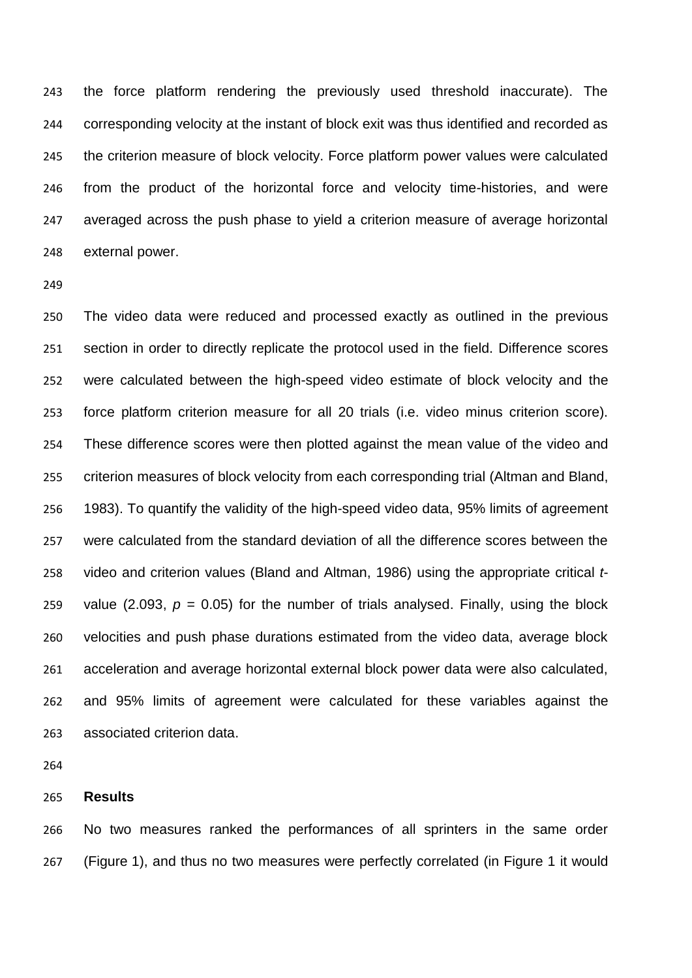the force platform rendering the previously used threshold inaccurate). The corresponding velocity at the instant of block exit was thus identified and recorded as the criterion measure of block velocity. Force platform power values were calculated from the product of the horizontal force and velocity time-histories, and were averaged across the push phase to yield a criterion measure of average horizontal external power.

 The video data were reduced and processed exactly as outlined in the previous section in order to directly replicate the protocol used in the field. Difference scores were calculated between the high-speed video estimate of block velocity and the force platform criterion measure for all 20 trials (i.e. video minus criterion score). These difference scores were then plotted against the mean value of the video and criterion measures of block velocity from each corresponding trial (Altman and Bland, 1983). To quantify the validity of the high-speed video data, 95% limits of agreement were calculated from the standard deviation of all the difference scores between the video and criterion values (Bland and Altman, 1986) using the appropriate critical *t*-259 value (2.093,  $p = 0.05$ ) for the number of trials analysed. Finally, using the block velocities and push phase durations estimated from the video data, average block acceleration and average horizontal external block power data were also calculated, and 95% limits of agreement were calculated for these variables against the associated criterion data.

### **Results**

 No two measures ranked the performances of all sprinters in the same order (Figure 1), and thus no two measures were perfectly correlated (in Figure 1 it would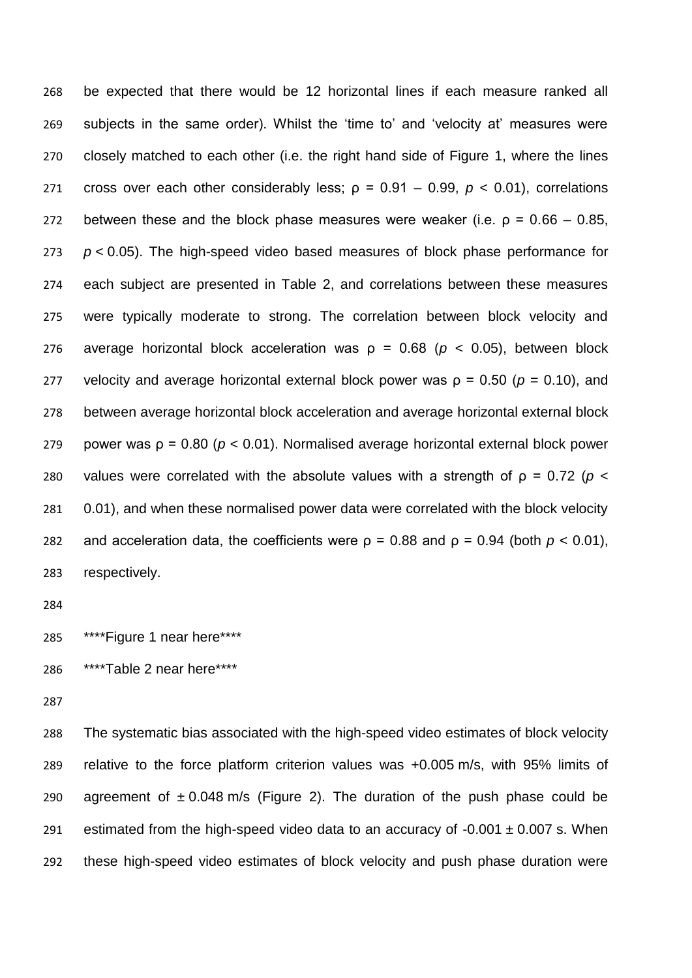be expected that there would be 12 horizontal lines if each measure ranked all subjects in the same order). Whilst the 'time to' and 'velocity at' measures were closely matched to each other (i.e. the right hand side of Figure 1, where the lines 271 cross over each other considerably less;  $ρ = 0.91 - 0.99$ ,  $p < 0.01$ ), correlations 272 between these and the block phase measures were weaker (i.e.  $p = 0.66 - 0.85$ , *p* < 0.05). The high-speed video based measures of block phase performance for each subject are presented in Table 2, and correlations between these measures were typically moderate to strong. The correlation between block velocity and average horizontal block acceleration was ρ = 0.68 (*p* < 0.05), between block 277 velocity and average horizontal external block power was  $p = 0.50$  ( $p = 0.10$ ), and between average horizontal block acceleration and average horizontal external block power was ρ = 0.80 (*p* < 0.01). Normalised average horizontal external block power 280 values were correlated with the absolute values with a strength of  $p = 0.72$  ( $p <$  0.01), and when these normalised power data were correlated with the block velocity 282 and acceleration data, the coefficients were  $\rho = 0.88$  and  $\rho = 0.94$  (both  $\rho < 0.01$ ), respectively.

```
285 ****Figure 1 near here****
```
\*\*\*\*Table 2 near here\*\*\*\*

 The systematic bias associated with the high-speed video estimates of block velocity relative to the force platform criterion values was +0.005 m/s, with 95% limits of 290 agreement of  $\pm 0.048$  m/s (Figure 2). The duration of the push phase could be 291 estimated from the high-speed video data to an accuracy of  $-0.001 \pm 0.007$  s. When these high-speed video estimates of block velocity and push phase duration were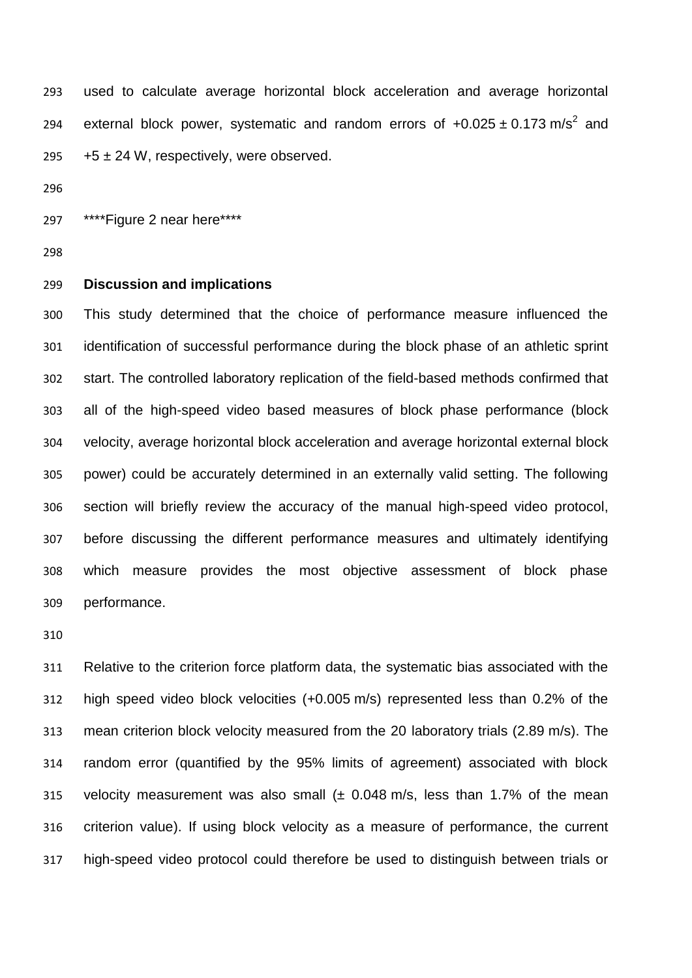used to calculate average horizontal block acceleration and average horizontal 294 external block power, systematic and random errors of  $+0.025 \pm 0.173$  m/s<sup>2</sup> and  $295 +5 \pm 24$  W, respectively, were observed.

\*\*\*\*Figure 2 near here\*\*\*\*

### **Discussion and implications**

 This study determined that the choice of performance measure influenced the identification of successful performance during the block phase of an athletic sprint start. The controlled laboratory replication of the field-based methods confirmed that all of the high-speed video based measures of block phase performance (block velocity, average horizontal block acceleration and average horizontal external block power) could be accurately determined in an externally valid setting. The following section will briefly review the accuracy of the manual high-speed video protocol, before discussing the different performance measures and ultimately identifying which measure provides the most objective assessment of block phase performance.

 Relative to the criterion force platform data, the systematic bias associated with the high speed video block velocities (+0.005 m/s) represented less than 0.2% of the mean criterion block velocity measured from the 20 laboratory trials (2.89 m/s). The random error (quantified by the 95% limits of agreement) associated with block 315 velocity measurement was also small  $(± 0.048 \text{ m/s}$ , less than 1.7% of the mean criterion value). If using block velocity as a measure of performance, the current high-speed video protocol could therefore be used to distinguish between trials or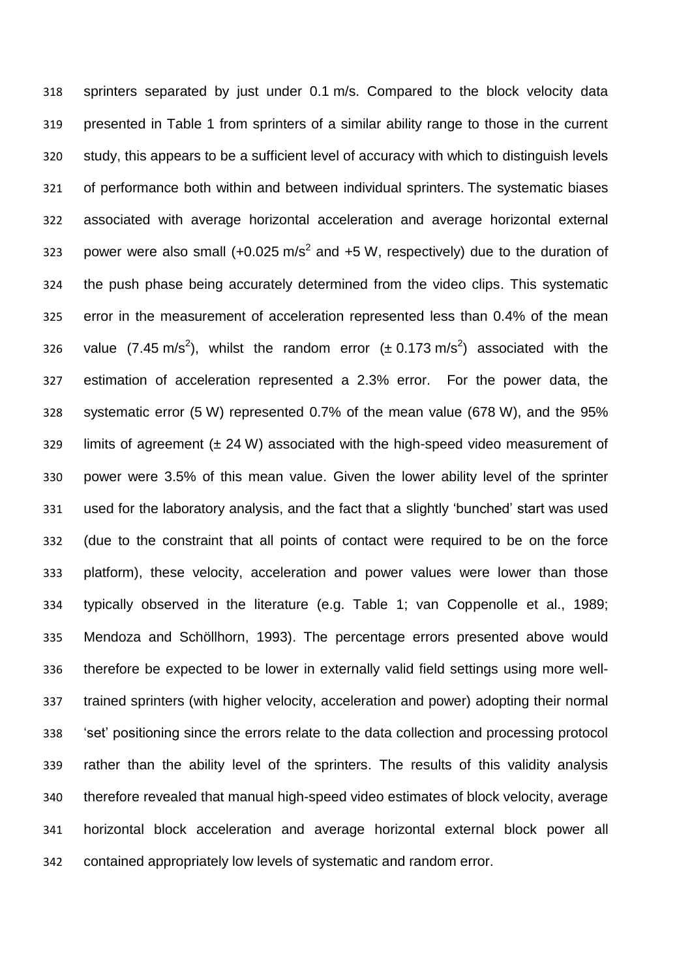sprinters separated by just under 0.1 m/s. Compared to the block velocity data presented in Table 1 from sprinters of a similar ability range to those in the current study, this appears to be a sufficient level of accuracy with which to distinguish levels of performance both within and between individual sprinters. The systematic biases associated with average horizontal acceleration and average horizontal external 323 power were also small  $(+0.025 \text{ m/s}^2$  and  $+5 \text{ W}$ , respectively) due to the duration of the push phase being accurately determined from the video clips. This systematic error in the measurement of acceleration represented less than 0.4% of the mean 326 value (7.45 m/s<sup>2</sup>), whilst the random error ( $\pm$  0.173 m/s<sup>2</sup>) associated with the estimation of acceleration represented a 2.3% error. For the power data, the systematic error (5 W) represented 0.7% of the mean value (678 W), and the 95% limits of agreement (± 24 W) associated with the high-speed video measurement of power were 3.5% of this mean value. Given the lower ability level of the sprinter used for the laboratory analysis, and the fact that a slightly 'bunched' start was used (due to the constraint that all points of contact were required to be on the force platform), these velocity, acceleration and power values were lower than those typically observed in the literature (e.g. Table 1; van Coppenolle et al., 1989; Mendoza and Schöllhorn, 1993). The percentage errors presented above would therefore be expected to be lower in externally valid field settings using more well- trained sprinters (with higher velocity, acceleration and power) adopting their normal 'set' positioning since the errors relate to the data collection and processing protocol rather than the ability level of the sprinters. The results of this validity analysis therefore revealed that manual high-speed video estimates of block velocity, average horizontal block acceleration and average horizontal external block power all contained appropriately low levels of systematic and random error.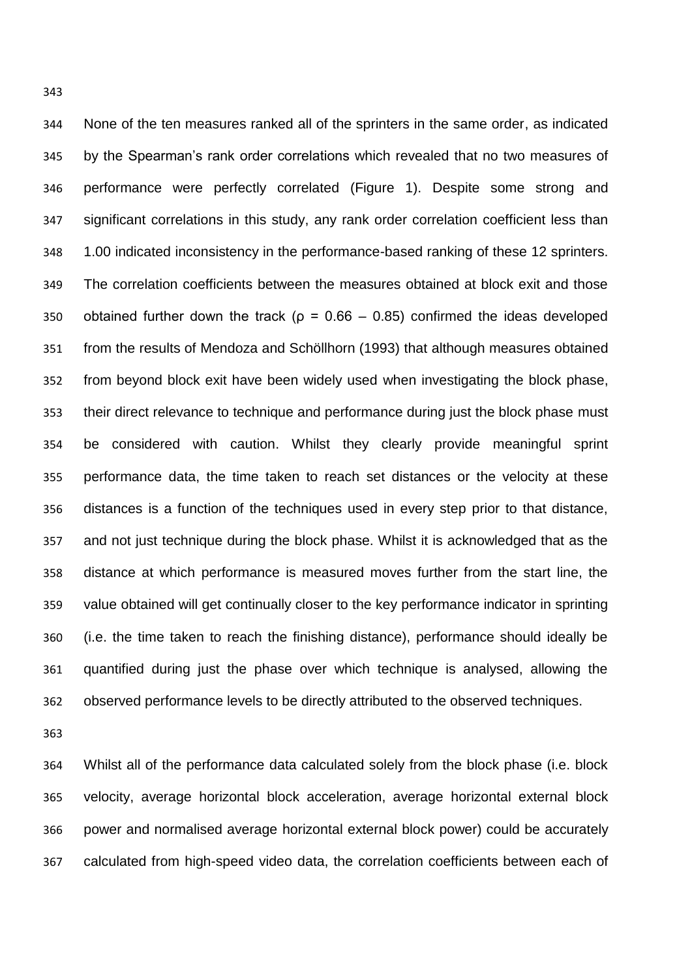None of the ten measures ranked all of the sprinters in the same order, as indicated by the Spearman's rank order correlations which revealed that no two measures of performance were perfectly correlated (Figure 1). Despite some strong and significant correlations in this study, any rank order correlation coefficient less than 1.00 indicated inconsistency in the performance-based ranking of these 12 sprinters. The correlation coefficients between the measures obtained at block exit and those 350 obtained further down the track ( $\rho = 0.66 - 0.85$ ) confirmed the ideas developed from the results of Mendoza and Schöllhorn (1993) that although measures obtained from beyond block exit have been widely used when investigating the block phase, their direct relevance to technique and performance during just the block phase must be considered with caution. Whilst they clearly provide meaningful sprint performance data, the time taken to reach set distances or the velocity at these distances is a function of the techniques used in every step prior to that distance, and not just technique during the block phase. Whilst it is acknowledged that as the distance at which performance is measured moves further from the start line, the value obtained will get continually closer to the key performance indicator in sprinting (i.e. the time taken to reach the finishing distance), performance should ideally be quantified during just the phase over which technique is analysed, allowing the observed performance levels to be directly attributed to the observed techniques.

 Whilst all of the performance data calculated solely from the block phase (i.e. block velocity, average horizontal block acceleration, average horizontal external block power and normalised average horizontal external block power) could be accurately calculated from high-speed video data, the correlation coefficients between each of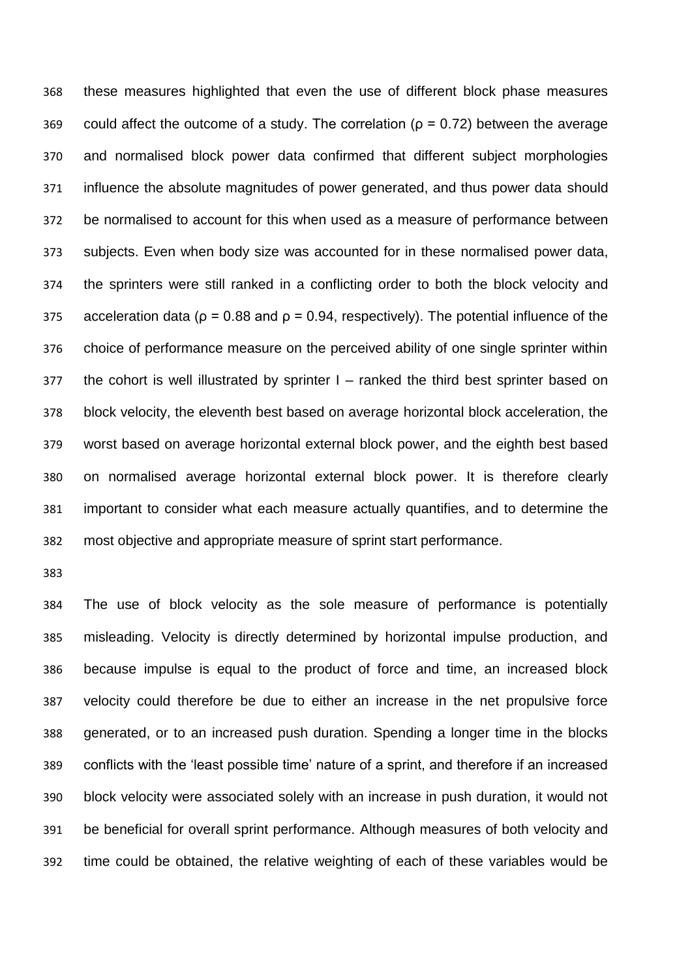these measures highlighted that even the use of different block phase measures 369 could affect the outcome of a study. The correlation ( $\rho = 0.72$ ) between the average and normalised block power data confirmed that different subject morphologies influence the absolute magnitudes of power generated, and thus power data should be normalised to account for this when used as a measure of performance between subjects. Even when body size was accounted for in these normalised power data, the sprinters were still ranked in a conflicting order to both the block velocity and 375 acceleration data ( $\rho = 0.88$  and  $\rho = 0.94$ , respectively). The potential influence of the choice of performance measure on the perceived ability of one single sprinter within the cohort is well illustrated by sprinter I – ranked the third best sprinter based on block velocity, the eleventh best based on average horizontal block acceleration, the worst based on average horizontal external block power, and the eighth best based on normalised average horizontal external block power. It is therefore clearly important to consider what each measure actually quantifies, and to determine the most objective and appropriate measure of sprint start performance.

 The use of block velocity as the sole measure of performance is potentially misleading. Velocity is directly determined by horizontal impulse production, and because impulse is equal to the product of force and time, an increased block velocity could therefore be due to either an increase in the net propulsive force generated, or to an increased push duration. Spending a longer time in the blocks conflicts with the 'least possible time' nature of a sprint, and therefore if an increased block velocity were associated solely with an increase in push duration, it would not be beneficial for overall sprint performance. Although measures of both velocity and time could be obtained, the relative weighting of each of these variables would be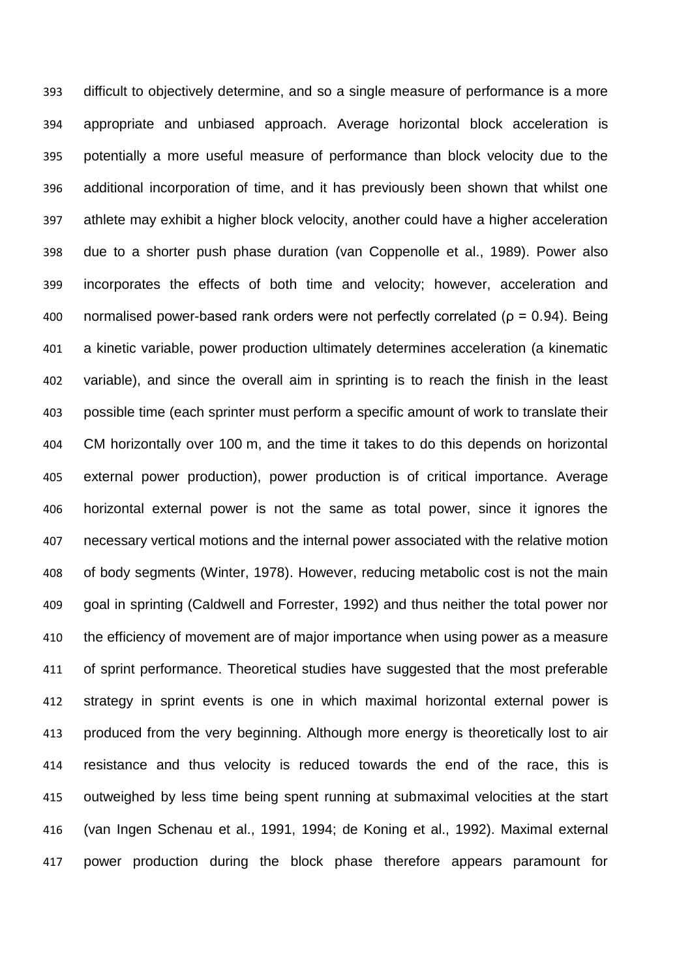difficult to objectively determine, and so a single measure of performance is a more appropriate and unbiased approach. Average horizontal block acceleration is potentially a more useful measure of performance than block velocity due to the additional incorporation of time, and it has previously been shown that whilst one athlete may exhibit a higher block velocity, another could have a higher acceleration due to a shorter push phase duration (van Coppenolle et al., 1989). Power also incorporates the effects of both time and velocity; however, acceleration and 400 normalised power-based rank orders were not perfectly correlated ( $\rho = 0.94$ ). Being a kinetic variable, power production ultimately determines acceleration (a kinematic variable), and since the overall aim in sprinting is to reach the finish in the least possible time (each sprinter must perform a specific amount of work to translate their CM horizontally over 100 m, and the time it takes to do this depends on horizontal external power production), power production is of critical importance. Average horizontal external power is not the same as total power, since it ignores the necessary vertical motions and the internal power associated with the relative motion of body segments (Winter, 1978). However, reducing metabolic cost is not the main goal in sprinting (Caldwell and Forrester, 1992) and thus neither the total power nor the efficiency of movement are of major importance when using power as a measure of sprint performance. Theoretical studies have suggested that the most preferable strategy in sprint events is one in which maximal horizontal external power is produced from the very beginning. Although more energy is theoretically lost to air resistance and thus velocity is reduced towards the end of the race, this is outweighed by less time being spent running at submaximal velocities at the start (van Ingen Schenau et al., 1991, 1994; de Koning et al., 1992). Maximal external power production during the block phase therefore appears paramount for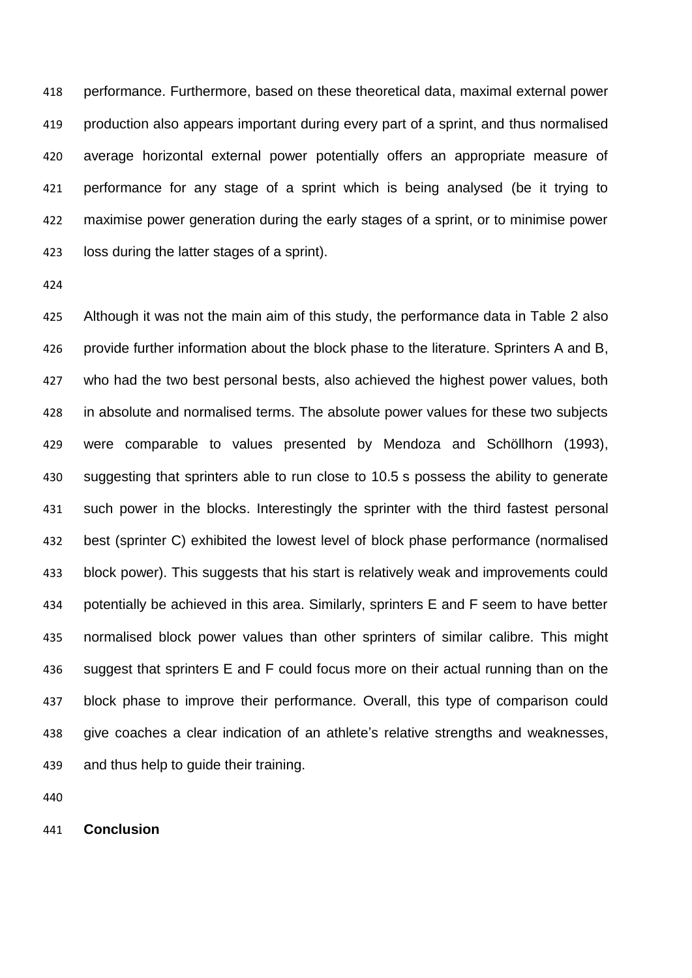performance. Furthermore, based on these theoretical data, maximal external power production also appears important during every part of a sprint, and thus normalised average horizontal external power potentially offers an appropriate measure of performance for any stage of a sprint which is being analysed (be it trying to maximise power generation during the early stages of a sprint, or to minimise power loss during the latter stages of a sprint).

 Although it was not the main aim of this study, the performance data in Table 2 also provide further information about the block phase to the literature. Sprinters A and B, who had the two best personal bests, also achieved the highest power values, both in absolute and normalised terms. The absolute power values for these two subjects were comparable to values presented by Mendoza and Schöllhorn (1993), suggesting that sprinters able to run close to 10.5 s possess the ability to generate such power in the blocks. Interestingly the sprinter with the third fastest personal best (sprinter C) exhibited the lowest level of block phase performance (normalised block power). This suggests that his start is relatively weak and improvements could potentially be achieved in this area. Similarly, sprinters E and F seem to have better normalised block power values than other sprinters of similar calibre. This might suggest that sprinters E and F could focus more on their actual running than on the block phase to improve their performance. Overall, this type of comparison could give coaches a clear indication of an athlete's relative strengths and weaknesses, and thus help to guide their training.

**Conclusion**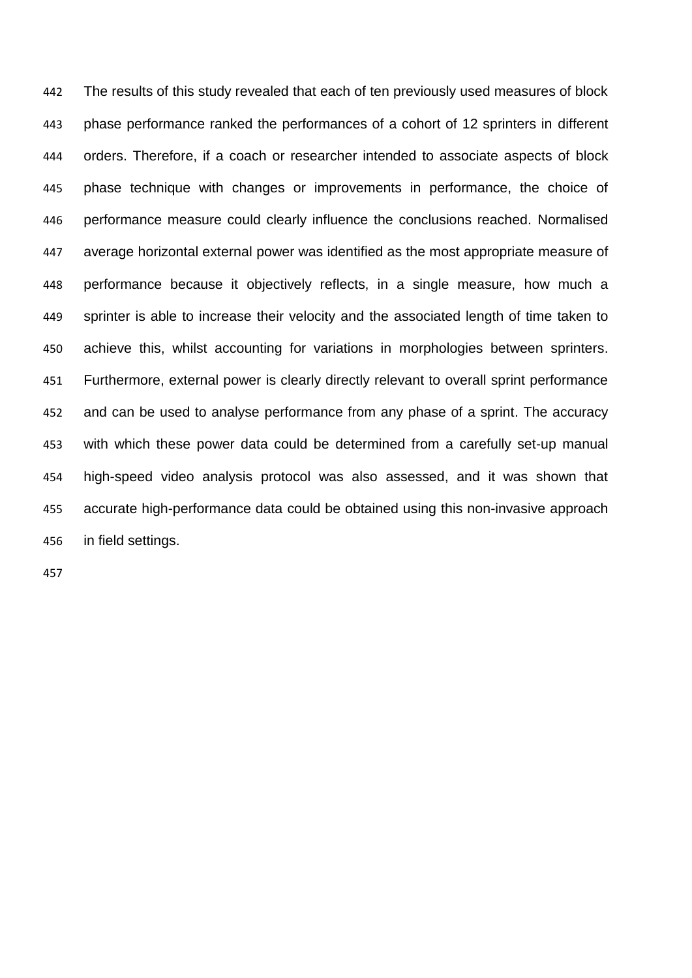The results of this study revealed that each of ten previously used measures of block phase performance ranked the performances of a cohort of 12 sprinters in different orders. Therefore, if a coach or researcher intended to associate aspects of block phase technique with changes or improvements in performance, the choice of performance measure could clearly influence the conclusions reached. Normalised average horizontal external power was identified as the most appropriate measure of performance because it objectively reflects, in a single measure, how much a sprinter is able to increase their velocity and the associated length of time taken to achieve this, whilst accounting for variations in morphologies between sprinters. Furthermore, external power is clearly directly relevant to overall sprint performance and can be used to analyse performance from any phase of a sprint. The accuracy with which these power data could be determined from a carefully set-up manual high-speed video analysis protocol was also assessed, and it was shown that accurate high-performance data could be obtained using this non-invasive approach in field settings.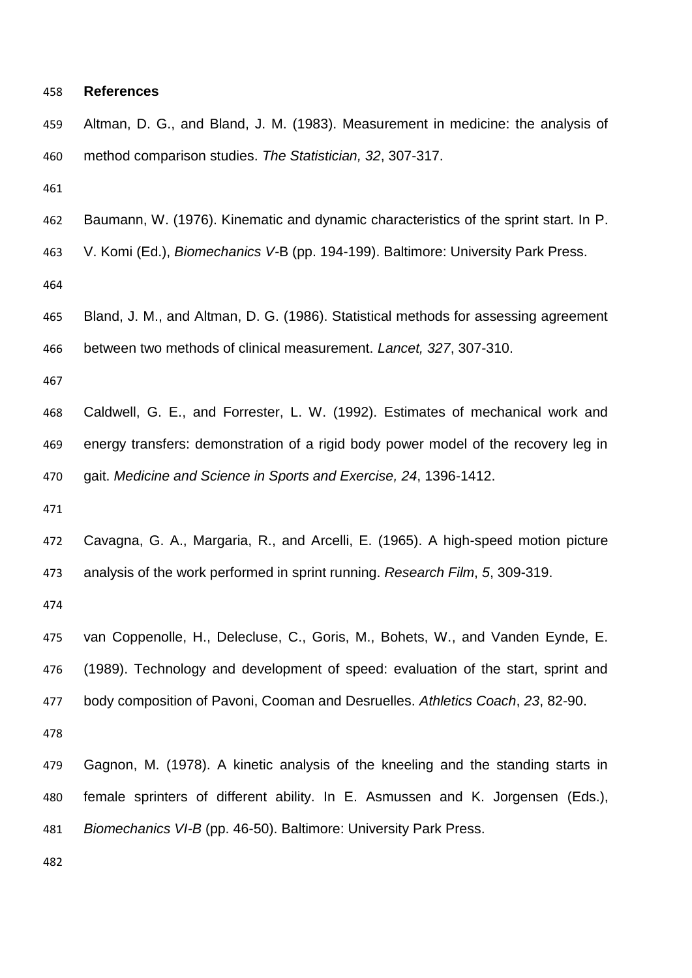#### **References**

 Altman, D. G., and Bland, J. M. (1983). Measurement in medicine: the analysis of method comparison studies. *The Statistician, 32*, 307-317. Baumann, W. (1976). Kinematic and dynamic characteristics of the sprint start. In P. V. Komi (Ed.), *Biomechanics V-*B (pp. 194-199). Baltimore: University Park Press. Bland, J. M., and Altman, D. G. (1986). Statistical methods for assessing agreement between two methods of clinical measurement. *Lancet, 327*, 307-310. Caldwell, G. E., and Forrester, L. W. (1992). Estimates of mechanical work and energy transfers: demonstration of a rigid body power model of the recovery leg in gait. *Medicine and Science in Sports and Exercise, 24*, 1396-1412. Cavagna, G. A., Margaria, R., and Arcelli, E. (1965). A high-speed motion picture analysis of the work performed in sprint running. *Research Film*, *5*, 309-319. van Coppenolle, H., Delecluse, C., Goris, M., Bohets, W., and Vanden Eynde, E. (1989). Technology and development of speed: evaluation of the start, sprint and body composition of Pavoni, Cooman and Desruelles. *Athletics Coach*, *23*, 82-90. Gagnon, M. (1978). A kinetic analysis of the kneeling and the standing starts in female sprinters of different ability. In E. Asmussen and K. Jorgensen (Eds.), *Biomechanics VI-B* (pp. 46-50). Baltimore: University Park Press.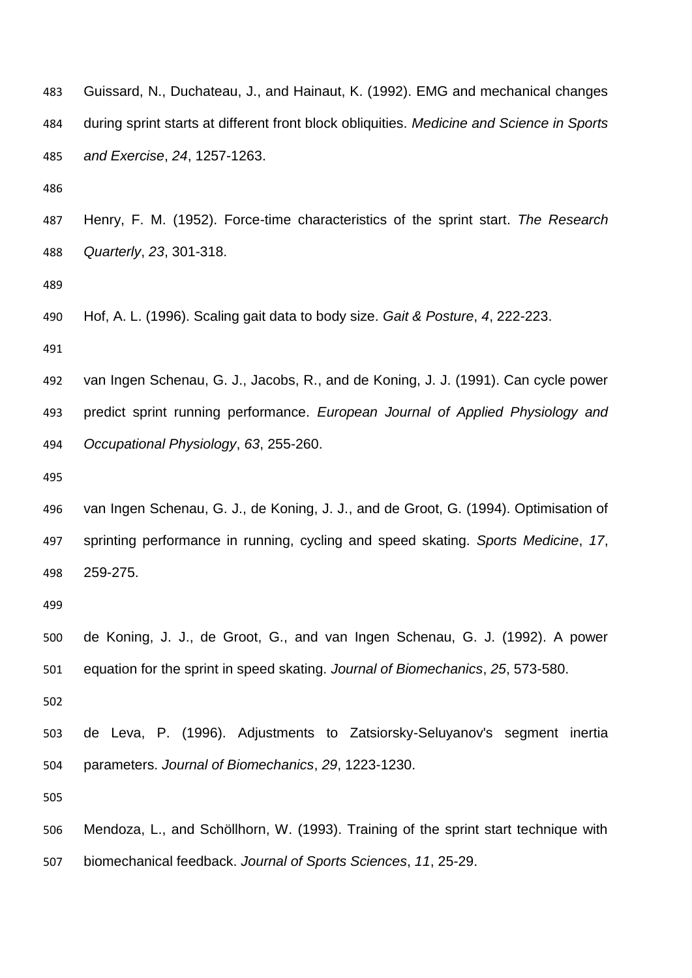| 483 | Guissard, N., Duchateau, J., and Hainaut, K. (1992). EMG and mechanical changes           |
|-----|-------------------------------------------------------------------------------------------|
| 484 | during sprint starts at different front block obliquities. Medicine and Science in Sports |
| 485 | and Exercise, 24, 1257-1263.                                                              |
| 486 |                                                                                           |

 Henry, F. M. (1952). Force-time characteristics of the sprint start. *The Research Quarterly*, *23*, 301-318.

Hof, A. L. (1996). Scaling gait data to body size. *Gait & Posture*, *4*, 222-223.

 van Ingen Schenau, G. J., Jacobs, R., and de Koning, J. J. (1991). Can cycle power predict sprint running performance. *European Journal of Applied Physiology and Occupational Physiology*, *63*, 255-260.

 van Ingen Schenau, G. J., de Koning, J. J., and de Groot, G. (1994). Optimisation of sprinting performance in running, cycling and speed skating. *Sports Medicine*, *17*, 259-275.

 de Koning, J. J., de Groot, G., and van Ingen Schenau, G. J. (1992). A power equation for the sprint in speed skating. *Journal of Biomechanics*, *25*, 573-580.

 de Leva, P. (1996). Adjustments to Zatsiorsky-Seluyanov's segment inertia parameters. *Journal of Biomechanics*, *29*, 1223-1230.

 Mendoza, L., and Schöllhorn, W. (1993). Training of the sprint start technique with biomechanical feedback. *Journal of Sports Sciences*, *11*, 25-29.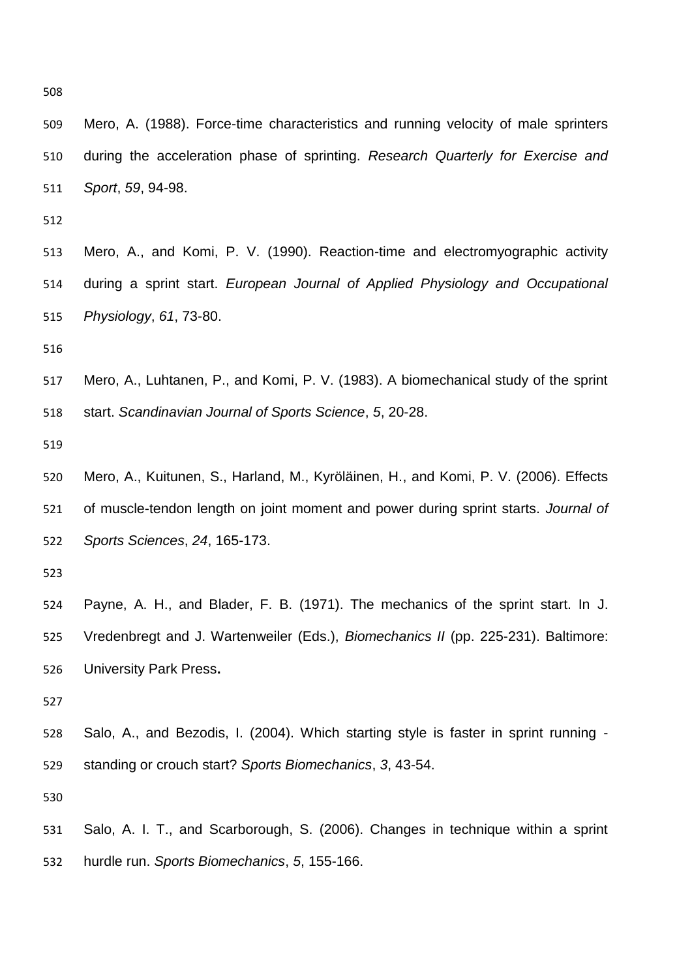Mero, A. (1988). Force-time characteristics and running velocity of male sprinters during the acceleration phase of sprinting. *Research Quarterly for Exercise and Sport*, *59*, 94-98.

 Mero, A., and Komi, P. V. (1990). Reaction-time and electromyographic activity during a sprint start. *European Journal of Applied Physiology and Occupational Physiology*, *61*, 73-80.

 Mero, A., Luhtanen, P., and Komi, P. V. (1983). A biomechanical study of the sprint start. *Scandinavian Journal of Sports Science*, *5*, 20-28.

 Mero, A., Kuitunen, S., Harland, M., Kyröläinen, H., and Komi, P. V. (2006). Effects of muscle-tendon length on joint moment and power during sprint starts. *Journal of Sports Sciences*, *24*, 165-173.

 Payne, A. H., and Blader, F. B. (1971). The mechanics of the sprint start. In J. Vredenbregt and J. Wartenweiler (Eds.), *Biomechanics II* (pp. 225-231). Baltimore: University Park Press**.**

 Salo, A., and Bezodis, I. (2004). Which starting style is faster in sprint running - standing or crouch start? *Sports Biomechanics*, *3*, 43-54.

 Salo, A. I. T., and Scarborough, S. (2006). Changes in technique within a sprint hurdle run. *Sports Biomechanics*, *5*, 155-166.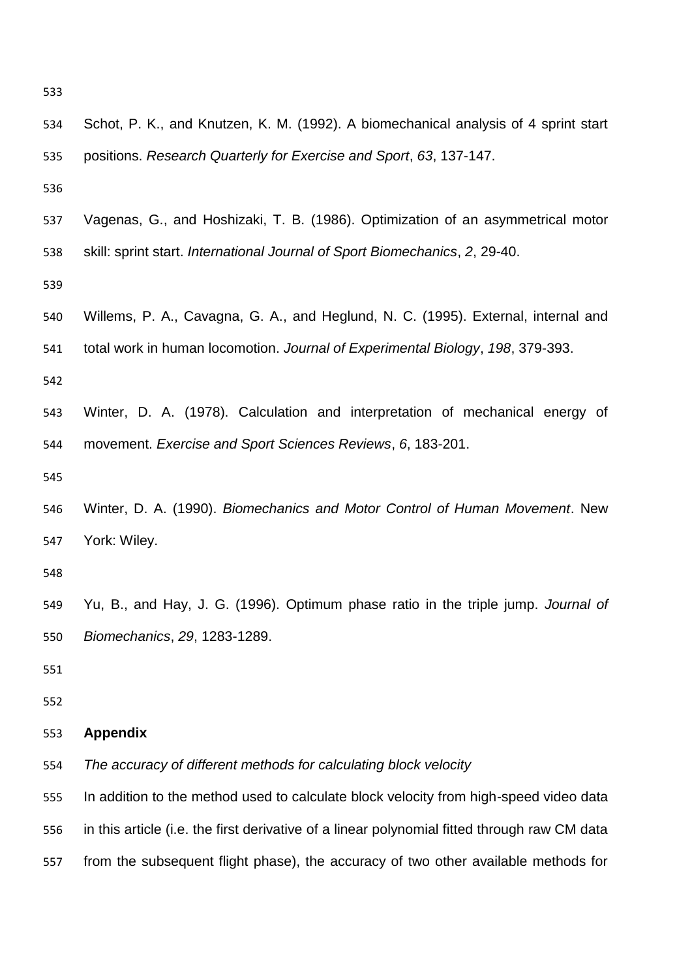| 534 | Schot, P. K., and Knutzen, K. M. (1992). A biomechanical analysis of 4 sprint start          |
|-----|----------------------------------------------------------------------------------------------|
| 535 | positions. Research Quarterly for Exercise and Sport, 63, 137-147.                           |
| 536 |                                                                                              |
| 537 | Vagenas, G., and Hoshizaki, T. B. (1986). Optimization of an asymmetrical motor              |
| 538 | skill: sprint start. International Journal of Sport Biomechanics, 2, 29-40.                  |
| 539 |                                                                                              |
| 540 | Willems, P. A., Cavagna, G. A., and Heglund, N. C. (1995). External, internal and            |
| 541 | total work in human locomotion. Journal of Experimental Biology, 198, 379-393.               |
| 542 |                                                                                              |
| 543 | Winter, D. A. (1978). Calculation and interpretation of mechanical energy of                 |
| 544 | movement. Exercise and Sport Sciences Reviews, 6, 183-201.                                   |
| 545 |                                                                                              |
| 546 | Winter, D. A. (1990). Biomechanics and Motor Control of Human Movement. New                  |
| 547 | York: Wiley.                                                                                 |
| 548 |                                                                                              |
| 549 | Yu, B., and Hay, J. G. (1996). Optimum phase ratio in the triple jump. Journal of            |
| 550 | Biomechanics, 29, 1283-1289.                                                                 |
| 551 |                                                                                              |
| 552 |                                                                                              |
| 553 | <b>Appendix</b>                                                                              |
| 554 | The accuracy of different methods for calculating block velocity                             |
| 555 | In addition to the method used to calculate block velocity from high-speed video data        |
| 556 | in this article (i.e. the first derivative of a linear polynomial fitted through raw CM data |
| 557 | from the subsequent flight phase), the accuracy of two other available methods for           |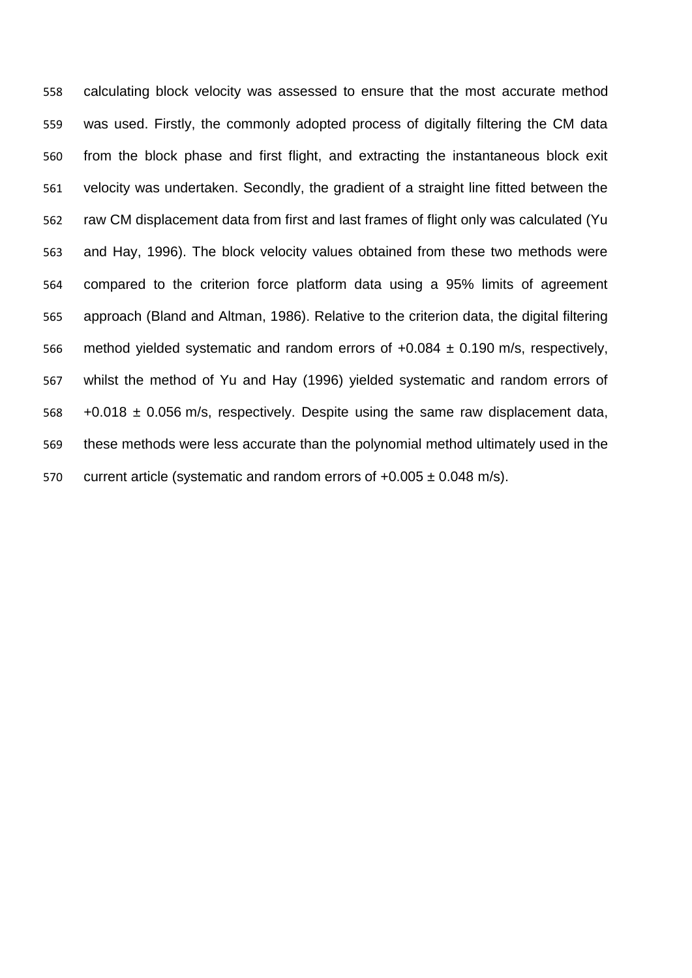calculating block velocity was assessed to ensure that the most accurate method was used. Firstly, the commonly adopted process of digitally filtering the CM data from the block phase and first flight, and extracting the instantaneous block exit velocity was undertaken. Secondly, the gradient of a straight line fitted between the raw CM displacement data from first and last frames of flight only was calculated (Yu and Hay, 1996). The block velocity values obtained from these two methods were compared to the criterion force platform data using a 95% limits of agreement approach (Bland and Altman, 1986). Relative to the criterion data, the digital filtering 566 method yielded systematic and random errors of  $+0.084 \pm 0.190$  m/s, respectively, whilst the method of Yu and Hay (1996) yielded systematic and random errors of  $568 + 0.018 \pm 0.056$  m/s, respectively. Despite using the same raw displacement data, these methods were less accurate than the polynomial method ultimately used in the 570 current article (systematic and random errors of  $+0.005 \pm 0.048$  m/s).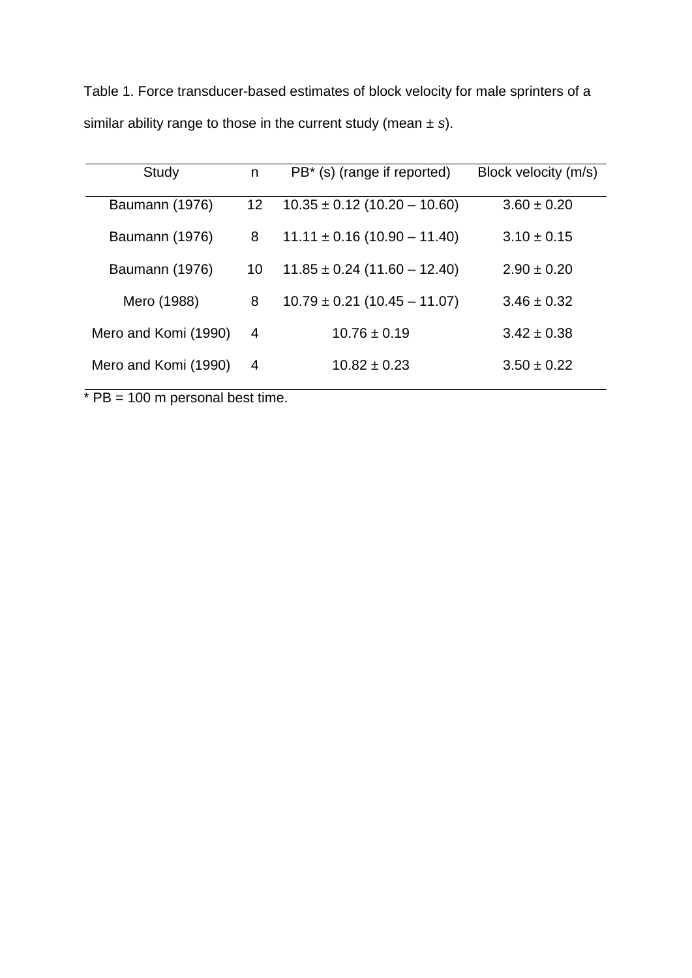Table 1. Force transducer-based estimates of block velocity for male sprinters of a similar ability range to those in the current study (mean ± *s*).

| Study                | n               | PB <sup>*</sup> (s) (range if reported) | Block velocity (m/s) |
|----------------------|-----------------|-----------------------------------------|----------------------|
| Baumann (1976)       | 12 <sup>2</sup> | $10.35 \pm 0.12$ (10.20 – 10.60)        | $3.60 \pm 0.20$      |
| Baumann (1976)       | 8               | $11.11 \pm 0.16 (10.90 - 11.40)$        | $3.10 \pm 0.15$      |
| Baumann (1976)       | 10              | $11.85 \pm 0.24$ (11.60 – 12.40)        | $2.90 \pm 0.20$      |
| Mero (1988)          | 8               | $10.79 \pm 0.21$ (10.45 – 11.07)        | $3.46 \pm 0.32$      |
| Mero and Komi (1990) | 4               | $10.76 \pm 0.19$                        | $3.42 \pm 0.38$      |
| Mero and Komi (1990) | $\overline{4}$  | $10.82 \pm 0.23$                        | $3.50 \pm 0.22$      |

 $*$  PB = 100 m personal best time.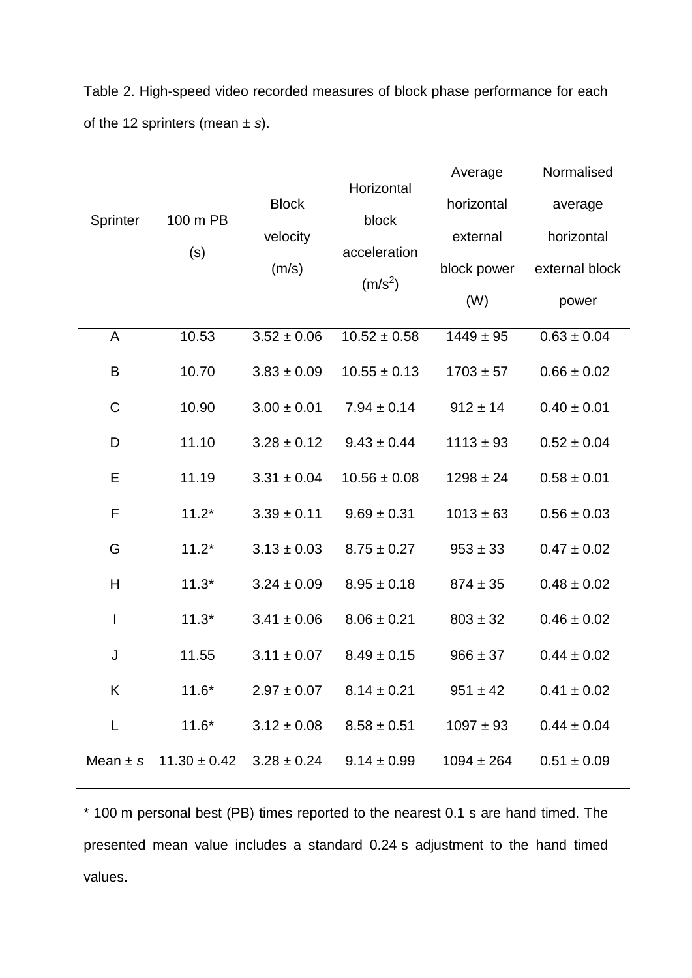| Sprinter    | 100 m PB<br>(s) | <b>Block</b><br>velocity<br>(m/s) | Horizontal<br>block<br>acceleration<br>$(m/s^2)$              | Average<br>horizontal<br>external<br>block power<br>(W) | Normalised<br>average<br>horizontal<br>external block<br>power |
|-------------|-----------------|-----------------------------------|---------------------------------------------------------------|---------------------------------------------------------|----------------------------------------------------------------|
| A           | 10.53           | $3.52 \pm 0.06$                   | $10.52 \pm 0.58$                                              | $1449 \pm 95$                                           | $0.63 \pm 0.04$                                                |
| B           | 10.70           | $3.83 \pm 0.09$                   | $10.55 \pm 0.13$                                              | $1703 \pm 57$                                           | $0.66 \pm 0.02$                                                |
| $\mathsf C$ | 10.90           | $3.00 \pm 0.01$                   | $7.94 \pm 0.14$                                               | $912 \pm 14$                                            | $0.40 \pm 0.01$                                                |
| D           | 11.10           | $3.28 \pm 0.12$                   | $9.43 \pm 0.44$                                               | $1113 \pm 93$                                           | $0.52 \pm 0.04$                                                |
| Е           | 11.19           | $3.31 \pm 0.04$                   | $10.56 \pm 0.08$                                              | $1298 \pm 24$                                           | $0.58 \pm 0.01$                                                |
| F           | $11.2*$         | $3.39 \pm 0.11$                   | $9.69 \pm 0.31$                                               | $1013 \pm 63$                                           | $0.56 \pm 0.03$                                                |
| G           | $11.2*$         | $3.13 \pm 0.03$                   | $8.75 \pm 0.27$                                               | $953 \pm 33$                                            | $0.47 \pm 0.02$                                                |
| H           | $11.3*$         | $3.24 \pm 0.09$                   | $8.95 \pm 0.18$                                               | $874 \pm 35$                                            | $0.48 \pm 0.02$                                                |
| I           | $11.3*$         | $3.41 \pm 0.06$                   | $8.06 \pm 0.21$                                               | $803 \pm 32$                                            | $0.46 \pm 0.02$                                                |
| J           | 11.55           | $3.11 \pm 0.07$                   | $8.49 \pm 0.15$                                               | $966 \pm 37$                                            | $0.44 \pm 0.02$                                                |
| K           | $11.6*$         | $2.97 \pm 0.07$                   | $8.14 \pm 0.21$                                               | $951 \pm 42$                                            | $0.41 \pm 0.02$                                                |
| L           | $11.6*$         | $3.12 \pm 0.08$                   | $8.58 \pm 0.51$                                               | $1097 \pm 93$                                           | $0.44 \pm 0.04$                                                |
|             |                 |                                   | Mean $\pm$ s 11.30 $\pm$ 0.42 3.28 $\pm$ 0.24 9.14 $\pm$ 0.99 | $1094 \pm 264$                                          | $0.51 \pm 0.09$                                                |

Table 2. High-speed video recorded measures of block phase performance for each of the 12 sprinters (mean ± *s*).

\* 100 m personal best (PB) times reported to the nearest 0.1 s are hand timed. The presented mean value includes a standard 0.24 s adjustment to the hand timed values.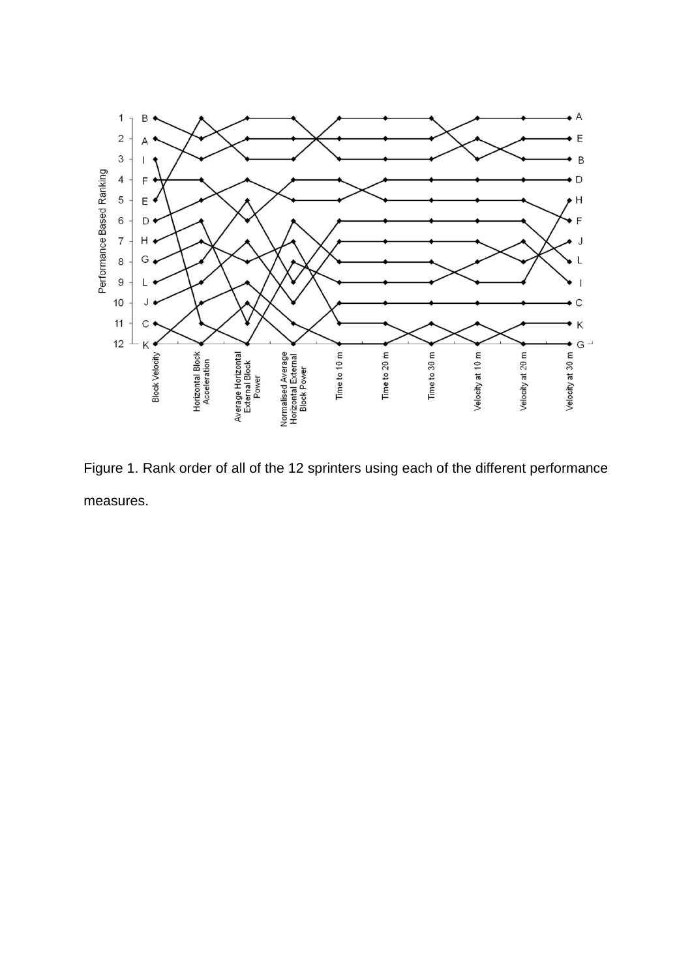

Figure 1. Rank order of all of the 12 sprinters using each of the different performance measures.